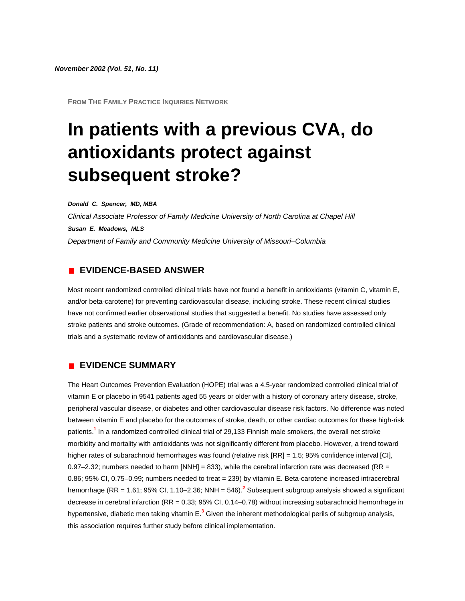**FROM THE FAMILY PRACTICE INQUIRIES NETWORK**

# **In patients with a previous CVA, do antioxidants protect against subsequent stroke?**

*Donald C. Spencer, MD, MBA*

*Clinical Associate Professor of Family Medicine University of North Carolina at Chapel Hill Susan E. Meadows, MLS Department of Family and Community Medicine University of Missouri–Columbia*

### **EVIDENCE-BASED ANSWER**

Most recent randomized controlled clinical trials have not found a benefit in antioxidants (vitamin C, vitamin E, and/or beta-carotene) for preventing cardiovascular disease, including stroke. These recent clinical studies have not confirmed earlier observational studies that suggested a benefit. No studies have assessed only stroke patients and stroke outcomes. (Grade of recommendation: A, based on randomized controlled clinical trials and a systematic review of antioxidants and cardiovascular disease.)

# **EVIDENCE SUMMARY**

The Heart Outcomes Prevention Evaluation (HOPE) trial was a 4.5-year randomized controlled clinical trial of vitamin E or placebo in 9541 patients aged 55 years or older with a history of coronary artery disease, stroke, peripheral vascular disease, or diabetes and other cardiovascular disease risk factors. No difference was noted between vitamin E and placebo for the outcomes of stroke, death, or other cardiac outcomes for these high-risk patient[s.](http://www.jfponline.com/Pages.asp?AID=1323&issue=November_2002&UID=#bib1)**<sup>1</sup>** In a randomized controlled clinical trial of 29,133 Finnish male smokers, the overall net stroke morbidity and mortality with antioxidants was not significantly different from placebo. However, a trend toward higher rates of subarachnoid hemorrhages was found (relative risk [RR] = 1.5; 95% confidence interval [CI], 0.97–2.32; numbers needed to harm [NNH] = 833), while the cerebral infarction rate was decreased (RR = 0.86; 95% CI, 0.75–0.99; numbers needed to treat = 239) by vitamin E. Beta-carotene increased intracerebral hemorrhage (RR = 1.61; 95% CI, 1.10–2.36; NNH = 546[\).](http://www.jfponline.com/Pages.asp?AID=1323&issue=November_2002&UID=#bib2)**<sup>2</sup>** Subsequent subgroup analysis showed a significant decrease in cerebral infarction (RR = 0.33; 95% CI, 0.14–0.78) without increasing subarachnoid hemorrhage in hypertensive, diabetic men taking vitamin [E.](http://www.jfponline.com/Pages.asp?AID=1323&issue=November_2002&UID=#bib3)**<sup>3</sup>** Given the inherent methodological perils of subgroup analysis, this association requires further study before clinical implementation.